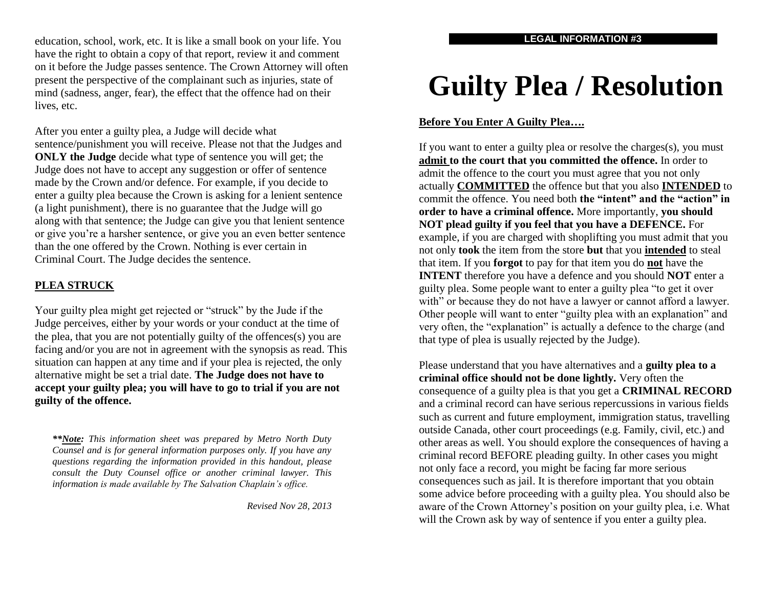education, school, work, etc. It is like a small book on your life. You have the right to obtain a copy of that report, review it and comment on it before the Judge passes sentence. The Crown Attorney will often present the perspective of the complainant such as injuries, state of mind (sadness, anger, fear), the effect that the offence had on their lives, etc.

After you enter a guilty plea, a Judge will decide what sentence/punishment you will receive. Please not that the Judges and **ONLY the Judge** decide what type of sentence you will get; the Judge does not have to accept any suggestion or offer of sentence made by the Crown and/or defence. For example, if you decide to enter a guilty plea because the Crown is asking for a lenient sentence (a light punishment), there is no guarantee that the Judge will go along with that sentence; the Judge can give you that lenient sentence or give you're a harsher sentence, or give you an even better sentence than the one offered by the Crown. Nothing is ever certain in Criminal Court. The Judge decides the sentence.

#### **PLEA STRUCK**

Your guilty plea might get rejected or "struck" by the Jude if the Judge perceives, either by your words or your conduct at the time of the plea, that you are not potentially guilty of the offences(s) you are facing and/or you are not in agreement with the synopsis as read. This situation can happen at any time and if your plea is rejected, the only alternative might be set a trial date. **The Judge does not have to accept your guilty plea; you will have to go to trial if you are not guilty of the offence.** 

*\*\*Note: This information sheet was prepared by Metro North Duty Counsel and is for general information purposes only. If you have any questions regarding the information provided in this handout, please consult the Duty Counsel office or another criminal lawyer. This information is made available by The Salvation Chaplain's office.*

*Revised Nov 28, 2013*

# **Guilty Plea / Resolution**

## **Before You Enter A Guilty Plea….**

If you want to enter a guilty plea or resolve the charges(s), you must **admit to the court that you committed the offence.** In order to admit the offence to the court you must agree that you not only actually **COMMITTED** the offence but that you also **INTENDED** to commit the offence. You need both **the "intent" and the "action" in order to have a criminal offence.** More importantly, **you should NOT plead guilty if you feel that you have a DEFENCE.** For example, if you are charged with shoplifting you must admit that you not only **took** the item from the store **but** that you **intended** to steal that item. If you **forgot** to pay for that item you do **not** have the **INTENT** therefore you have a defence and you should **NOT** enter a guilty plea. Some people want to enter a guilty plea "to get it over with" or because they do not have a lawyer or cannot afford a lawyer. Other people will want to enter "guilty plea with an explanation" and very often, the "explanation" is actually a defence to the charge (and that type of plea is usually rejected by the Judge).

Please understand that you have alternatives and a **guilty plea to a criminal office should not be done lightly.** Very often the consequence of a guilty plea is that you get a **CRIMINAL RECORD** and a criminal record can have serious repercussions in various fields such as current and future employment, immigration status, travelling outside Canada, other court proceedings (e.g. Family, civil, etc.) and other areas as well. You should explore the consequences of having a criminal record BEFORE pleading guilty. In other cases you might not only face a record, you might be facing far more serious consequences such as jail. It is therefore important that you obtain some advice before proceeding with a guilty plea. You should also be aware of the Crown Attorney's position on your guilty plea, i.e. What will the Crown ask by way of sentence if you enter a guilty plea.